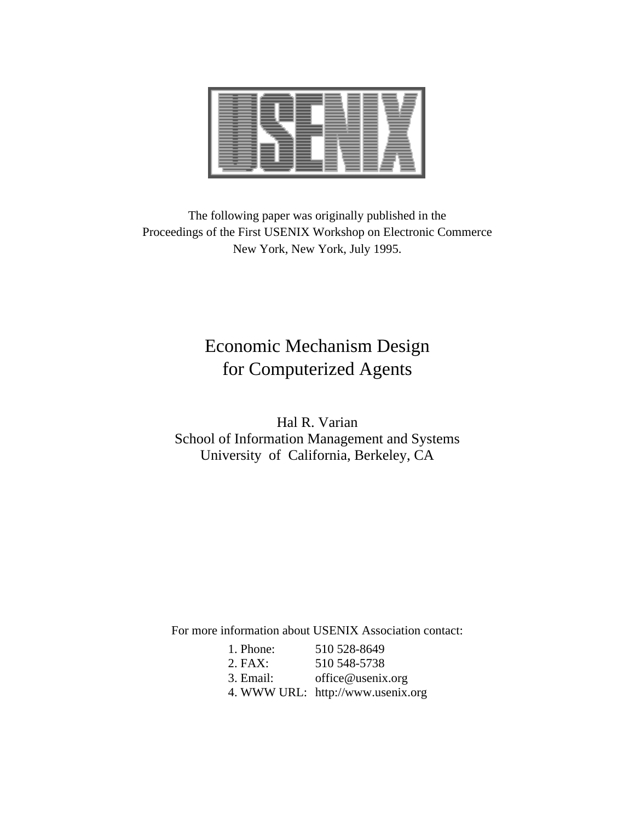The following paper was originally published in the Proceedings of the First USENIX Workshop on Electronic Commerce New York, New York, July 1995.

# Economic Mechanism Design for Computerized Agents

Hal R. Varian School of Information Management and Systems University of California, Berkeley, CA

For more information about USENIX Association contact:

| 1. Phone: | 510 528-8649                      |
|-----------|-----------------------------------|
| $2.$ FAX: | 510 548-5738                      |
| 3. Email: | office@usenix.org                 |
|           | 4. WWW URL: http://www.usenix.org |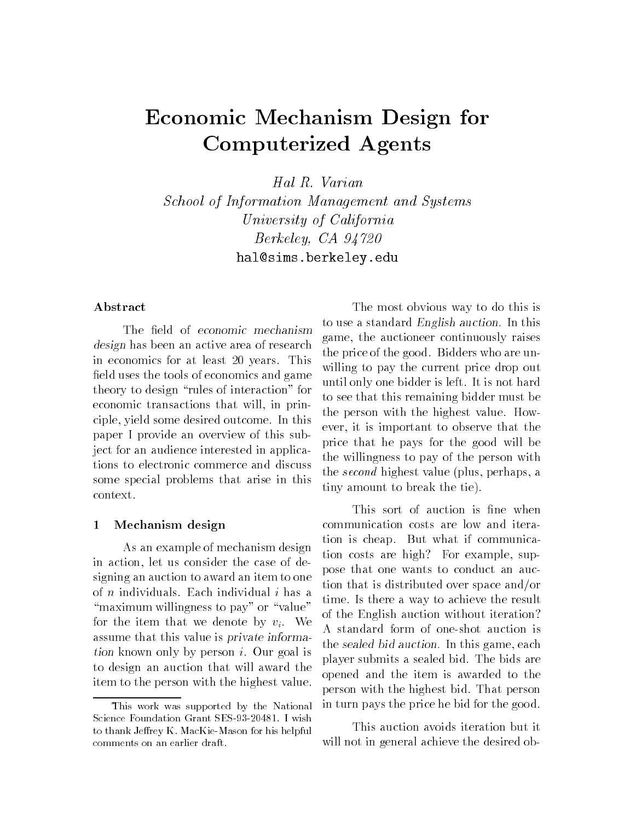# Economic Mechanism Design for Computerized Agents

Hal R. Varian

School of Information Management and Systems University of California  $Berkeley, CA$  94720 hal-simsberkeleyedu

### Abstract

The nera of economic mechanism design has been an active area of research question in economics for at least 20 years. This -eld uses the tools of economics and game theory to design "rules of interaction" for economic transactions that will, in principle, yield some desired outcome. In this paper I provide an overview of this sub ject for an audience interested in applica tions to electronic commerce and discuss some special problems that arise in this context

#### $\mathbf{1}$ Mechanism design

As an example of mechanism design in action, let us consider the case of designing an auction to award an item to one of  $n$  individuals. Each individual  $i$  has a "maximum willingness to pay" or "value" for the item that we denote by  $v_i$ . We assume that this value is private information known only by person i Our goal is to design an auction that will award the item to the person with the highest value

The most obvious way to do this is to use a standard *English auction*. In this game, the auctioneer continuously raises the price of the good. Bidders who are unwilling to pay the current price drop out until only one bidder is left. It is not hard to see that this remaining bidder must be the person with the highest value. However, it is important to observe that the price that he pays for the good will be the willingness to pay of the person with the second highest value plus perhaps a tiny amount to break the tie

the *sealed bid auction.* In this game, each communication costs are low and itera tion is cheap. But what if communication costs are high? For example, suppose that one wants to conduct an auc tion that is distributed over space and/or time. Is there a way to achieve the result of the English auction without iteration A standard form of one-shot auction is player submits a sealed bid. The bids are opened and the item is awarded to the person with the highest bid That person in turn pays the price he bid for the good

This auction avoids iteration but it will not in general achieve the desired ob-

This work was supported by the NationalScience Foundation Grant SES-- I wishto thank Jerrey K. MacKie-Mason for his helpful comments on an earlier draft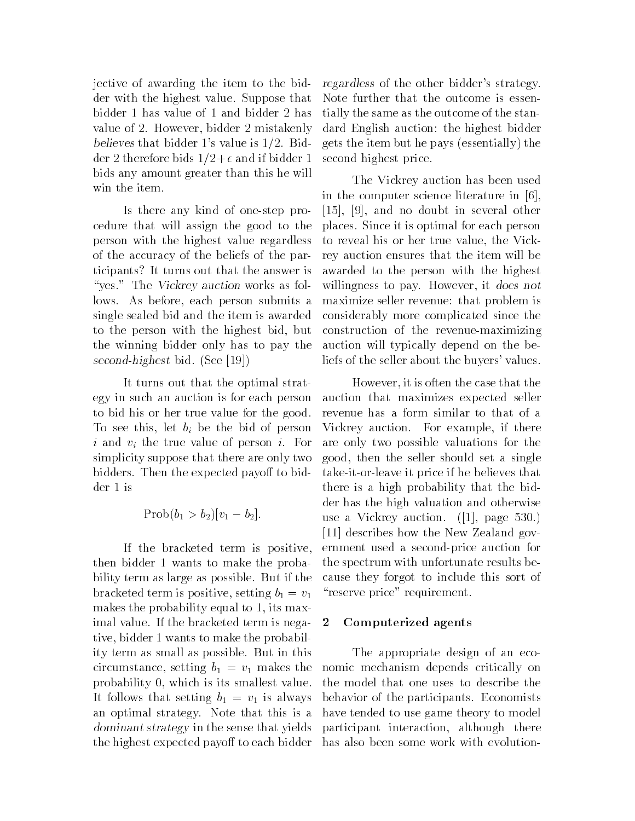jective of awarding the item to the bid der with the highest value. Suppose that bidder 1 has value of 1 and bidder 2 has value of 2. However, bidder 2 mistakenly  $\mathbf{b}$  bilion bidder s value is  $\mathbf{a}$   $\mathbf{b}$   $\mathbf{b}$   $\mathbf{c}$   $\mathbf{c}$  $\alpha$  . Therefore bidder  $\alpha$  ,  $\alpha$  , and  $\alpha$  if  $\alpha$  is the set of  $\alpha$ bids any amount greater than this he will win the item

Is there any kind of one-step procedure that will assign the good to the person with the highest value regardless of the accuracy of the beliefs of the par ticipants It turns out that the answer is "yes." The Vickrey auction works as follows. As before, each person submits a single sealed bid and the item is awarded to the person with the highest bid, but the winning bidder only has to pay the second-highest bid See

It turns out that the optimal strat egy in such an auction is for each person to bid his or her true value for the good To see this, let  $b_i$  be the bid of person i and  $v_i$  the true value of person i. For simplicity suppose that there are only two bidders. Then the expected payoff to bidder 1 is

$$
Prob(b_1 > b_2)[v_1 - b_2].
$$

If the bracketed term is positive then bidder 1 wants to make the probability term as large as possible. But if the bracketed term is positive, setting  $b_1 = v_1$ makes the probability equal to 1, its maximal value. If the bracketed term is nega- 2 tive, bidder 1 wants to make the probability term as small as possible. But in this circumstance, setting  $b_1 = v_1$  makes the probability 0, which is its smallest value. It follows that setting  $b_1 = v_1$  is always an optimal strategy Note that this is a dominant strategy in the sense that yields the highest expected payoff to each bidder

regardless of the other bidders strategy Note further that the outcome is essen tially the same as the outcome of the stan dard English auction: the highest bidder essentially the interval of the pays of the pays of the pays of the pays of the pays of the pays of the pays o second highest price

The Vickrey auction has been used in the computer science literature in [6].  $[15]$ ,  $[9]$ , and no doubt in several other places Since it is optimal for each person to reveal his or her true value, the Vickrey auction ensures that the item will be awarded to the person with the highest willingness to pay. However, it does not maximize seller revenue: that problem is considerably more complicated since the construction of the revenue-maximizing auction will typically depend on the be liefs of the seller about the buyers' values.

However it is often the case that the auction that maximizes expected seller revenue has a form similar to that of a Vickrey auction. For example, if there are only two possible valuations for the good, then the seller should set a single take it or leave it price if he believes that there is a high probability that the bid der has the high valuation and otherwise use a victor and the victor of the page of the page of the page of the page of the page of the page of the page [11] describes how the New Zealand government used a second-price auction for the spectrum with unfortunate results be cause they forgot to include this sort of "reserve price" requirement.

### Computerized agents

The appropriate design of an eco nomic mechanism depends critically on the model that one uses to describe the behavior of the participants. Economists have tended to use game theory to model participant interaction, although there has also been some work with evolution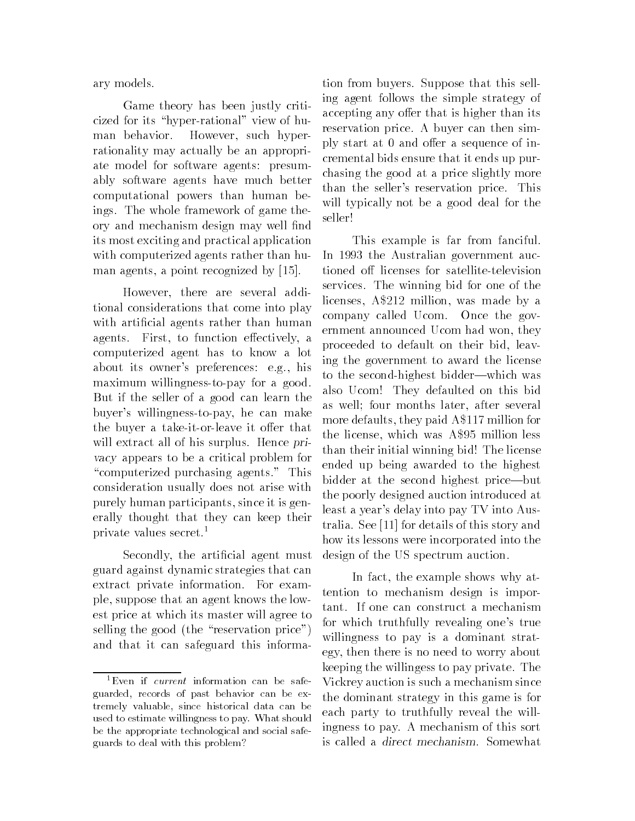ary models

Game theory has been justly criti cized for its "hyper-rational" view of human behavior. However, such hyperrationality may actually be an appropri ate model for software agents: presumably software agents have much better computational powers than human be ings. The whole framework of game theory and mechanism design may well -nd its most exciting and practical application with computerized agents rather than hu man agents, a point recognized by  $[15]$ .

However, there are several additional considerations that come into play with a region  $\ell$  is a rather than human human human human human human human human human human human human human human human human human human human human human human human human human human human human human human human agents. First, to function effectively, a computerized agent has to know a lot about its owner's preferences: e.g., his maximum willingness-to-pay for a good. But if the seller of a good can learn the buyer's willingness-to-pay, he can make the buyer a take-it-or-leave it offer that will extract all of his surplus. Hence privacy appears to be a critical problem for "computerized purchasing agents." This consideration usually does not arise with purely human participants since it is gen erally thought that they can keep their private values secret

secondly the must must make the agent of the agent of the contract of the contract of the contract of the contr guard against dynamic strategies that can extract private information. For example, suppose that an agent knows the lowest price at which its master will agree to selling the good the reservation price and that it can safeguard this informa 

tion from buyers. Suppose that this selling agent follows the simple strategy of accepting any offer that is higher than its reservation price A buyer can then sim ply start at 0 and offer a sequence of incremental bids ensure that it ends up pur chasing the good at a price slightly more than the seller's reservation price. This will typically not be a good deal for the seller

than their initial winning bid! The license This example is far from fanciful In 1993 the Australian government auctioned off licenses for satellite-television services The winning bid for one of the licenses, A\$212 million, was made by a company called Ucom. Once the government announced Ucom had won, they proceeded to default on their bid, leaving the government to award the license to the second-highest bidder—which was also Ucom! They defaulted on this bid as well; four months later, after several more defaults, they paid  $A $117$  million for the license, which was A\$95 million less ended up being awarded to the highest bidder at the second highest price—but the poorly designed auction introduced at least a year's delay into pay TV into Australia. See [11] for details of this story and how its lessons were incorporated into the design of the US spectrum auction

 Vickrey auction is such a mechanism since the dominant strategy in this game is for each party to truthfully reveal the will In fact, the example shows why attention to mechanism design is impor tant. If one can construct a mechanism for which truthfully revealing one's true willingness to pay is a dominant strat egy, then there is no need to worry about keeping the willingess to pay private The ingness to pay A mechanism of the sort of the social contract of the social contract of the social contract of is called a *direct mechanism*. Somewhat

Even if current information can be safeguarded records of past behavior can be extremely valuable since historical data can beused to estimate willingness to pay What shouldbe the appropriate technological and social safeguards to deal with this problem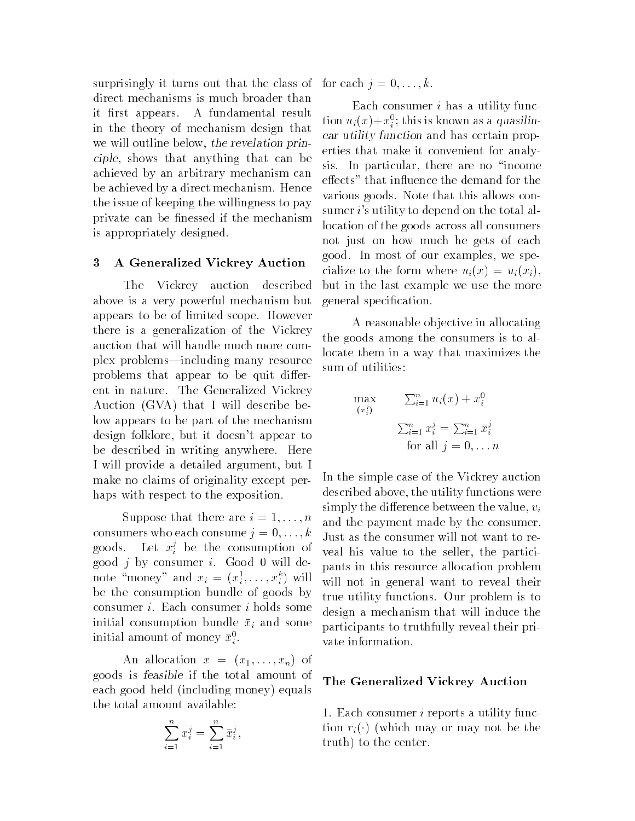surprisingly it turns out that the class of for each  $j = 0, \ldots, k$ . direct mechanisms is much broader than it first appears. A fundamental result in the theory of mechanism design that we will outline below, the revelation principle, shows that anything that can be achieved by an arbitrary mechanism can be achieved by a direct mechanism. Hence the issue of keeping the willingness to pay private can be - nessed if the mechanism can be - nessed if the mechanism can be - nessed if the mechanism can is appropriately designed

#### A Generalized Vickrey Auction

The Vickrey auction described above is a very powerful mechanism but appears to be of limited scope However there is a generalization of the Vickrey auction that will handle much more com plex problems—including many resource problems that appear to be quit different in nature. The Generalized Vickrey  $\mathcal{A}$ uction bebela that I will describe bebela that I will describe bebela that I will describe be low appears to be part of the mechanism design folklore, but it doesn't appear to be described in writing anywhere. Here I will provide a detailed argument, but I make no claims of originality except per haps with respect to the exposition.

Suppose that there are  $i = 1, \ldots, n$ consumers who each consume  $j = 0, \ldots, k$ goods. Let  $x_i^{\scriptscriptstyle +}$  be the consumption of . good  $j$  by consumer  $i$ . Good 0 will denote money and  $x_i = (x_i^*, \ldots, x_i^*)$  will be the consumption bundle of goods by consumer i Each consumer <sup>i</sup> holds some initial consumption bundle  $\bar{x}_i$  and some initial amount of money  $x_i^{\cdot}$ .

An allocation <sup>x</sup> xxn of goods is feasible if the total amount of each good including money equals are a contracted in the contracted in the contracted in the contracted in the contracted in the contracted in the contracted in the contracted in the contracted in the contracted in the con the total amount available

$$
\sum_{i=1}^{n} x_i^j = \sum_{i=1}^{n} \bar{x}_i^j,
$$

 erties that make it convenient for analy In design that is easily the difference between  $u_i(x) + x_i^p$ ; this is kin metall result tion  $u_i(x) + x_i^p$ ; this is kin metall the revealation prince are utility function and erric state make it comechanism can sis. In parti Each consumer  $i$  has a utility function  $u_i(x)+x_i$ ; this is known as a quasilihear utility function and has certain prop sis. In particular, there are no "income effects" that influence the demand for the various goods. Note that this allows consumer  $i$ 's utility to depend on the total allocation of the goods across all consumers not just on how much he gets of each good. In most of our examples, we specialize to the form where  $u_i$   $\{v_i\}$  and  $u_i$   $\{v_i\}$ but in the last example we use the more general speci-cation

A reasonable ob jective in allocating the goods among the consumers is to al locate them in a way that maximizes the sum of utilities:

$$
\max_{(x_i^j)} \qquad \sum_{i=1}^n u_i(x) + x_i^0
$$
\n
$$
\sum_{i=1}^n x_i^j = \sum_{i=1}^n \bar{x}_i^j
$$
\nfor all  $j = 0, \ldots n$ 

In the simple case of the Vickrey auction described above the utility functions were simply the difference between the value,  $v_i$ and the payment made by the consumer Just as the consumer will not want to re veal his value to the seller, the participants in this resource allocation problem will not in general want to reveal their true utility functions. Our problem is to design a mechanism that will induce the participants to truthfully reveal their pri vate information

#### The Generalized Vickrey Auction

1. Each consumer *i* reports a utility function right and the theory are the the the three company of the three company of the three company of the three company of the company of the company of the company of the company of the company of the company of the compan truth) to the center.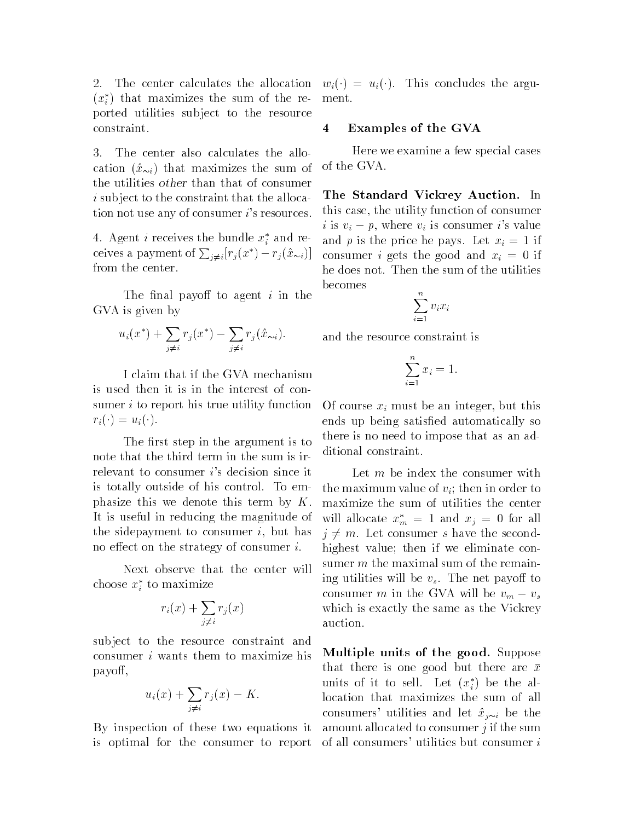2. The center calculates the allocation  $(x_i)$  that maximizes the sum of the re- i ported utilities sub ject to the resource constraint

3. The center also calculates the allo- $\ldots$  .  $\ldots$   $\ldots$  is that maximizes the sum of  $\ldots$ the utilities other than that of consumer i subject to the constraint that the allocation not use any of consumer  $i$ 's resources.

4. Agent *i* receives the bundle  $x_i$  and receives a payment of  $\sum_{i\neq i} |r_j(x^*)-r_j(\hat{x}_{\sim i})|$ from the center

The secondary of the complete in the contract of the second second second in the second second second second s GVA is given by

$$
u_i(x^*) + \sum_{j \neq i} r_j(x^*) - \sum_{j \neq i} r_j(\hat{x}_{\sim i}).
$$

I claim that if the GVA mechanism is used then it is in the interest of con sumer *i* to report his true utility function  $\cdots$ 

The step in the argument is to the argument is to the argument is to the argument is to the argument is to the note that the third term in the sum is ir relevant to consumer  $i$ 's decision since it is totally outside of his control. To emphasize this we denote this term by  $K$ . It is useful in reducing the magnitude of the sidepayment to consumer  $i$ , but has no effect on the strategy of consumer  $i$ .

Next observe that the center will choose  $x_i$  to maximize

$$
r_i(x) + \sum_{j \neq i} r_j(x)
$$

sub ject to the resource constraint and consumer <sup>i</sup> wants them to maximize his payo

$$
u_i(x) + \sum_{j \neq i} r_j(x) - K.
$$

By inspection of these two equations it is optimal for the consumer to report

 $\mathcal{L}^{\text{max}}$  ,  $\mathcal{L}^{\text{max}}$  , are argument the argument of  $\mathcal{L}^{\text{max}}$ ment

### Examples of the GVA

Here we examine a few special cases of the GVA

The Standard Vickrey Auction. In this case, the utility function of consumer i is  $v_i - p$ , where  $v_i$  is consumer i's value and p is the price he pays. Let  $x_i = 1$  if consumer *i* gets the good and  $x_i = 0$  if he does not. Then the sum of the utilities becomes

$$
\sum_{i=1}^n v_i x_i
$$

and the resource constraint is

$$
\sum_{i=1}^{n} x_i = 1.
$$

Of course  $x_i$  must be an integer, but this ends up being satisfactory satisfactory solutions are all the satisfactory solutions of the solutions of the s there is no need to impose that as an ad ditional constraint

Let m be index the consumer with the maximum value of  $v_i$ ; then in order to maximize the sum of utilities the center will allocate  $x_m^* = 1$  and  $x_j = 0$  for all  $j \neq m$ . Let consumer s have the secondhighest value; then if we eliminate consumer  $m$  the maximal sum of the remaining utilities will be  $v_s$ . The net payoff to consumer m in the GVA will be  $v_m - v_s$ which is exactly the same as the Vickrey auction.

Multiple units of the good. Suppose that there is one good but there are  $\bar{x}$ units of it to sell. Let  $(x_i)$  be the allocation that maximizes the sum of all consumers utilities and let  $\mathcal{L}$  if  $\mathcal{L}$ amount allocated to consumer  $j$  if the sum of all consumers' utilities but consumer  $i$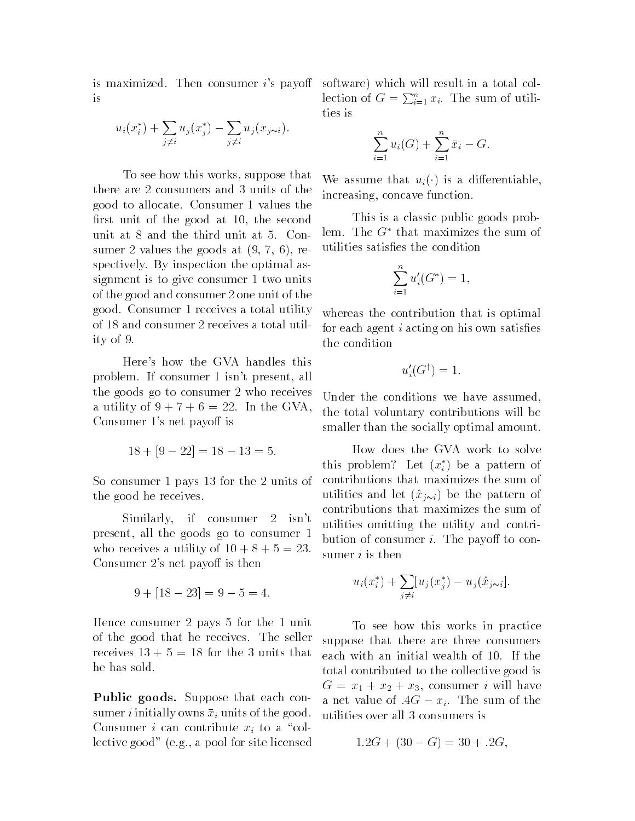is maximized. Then consumer  $i$ 's payoff is

$$
u_i(x_i^*) + \sum_{j \neq i} u_j(x_j^*) - \sum_{j \neq i} u_j(x_{j \sim i}).
$$

To see how this works, suppose that there are 2 consumers and 3 units of the good to allocate. Consumer 1 values the -rst unit of the good at the second unit at  $8$  and the third unit at  $5$ . Consumer and at  $\mathbf{v}$  at  $\mathbf{v}$  at  $\mathbf{v}$  at  $\mathbf{v}$  at  $\mathbf{v}$  at  $\mathbf{v}$ spectively. By inspection the optimal assignment is to give consumer 1 two units of the good and consumer 2 one unit of the good. Consumer 1 receives a total utility of 18 and consumer 2 receives a total utility of

Here's how the GVA handles this problem. If consumer 1 isn't present, all the goods go to consumer 2 who receives a utility of  $9 + 7 + 6 = 22$ . In the GVA. Consumer 1's net payoff is

$$
18 + [9 - 22] = 18 - 13 = 5.
$$

So consumer 1 pays 13 for the 2 units of the good he receives

Similarly, if consumer 2 isn't present, all the goods go to consumer 1 who receives a utility of  $10 + 8 + 5 = 23$ . Consumer 2's net payoff is then

$$
9 + [18 - 23] = 9 - 5 = 4.
$$

Hence consumer 2 pays  $5$  for the  $1$  unit of the good that he receives The seller receives  $13 + 5 = 18$  for the 3 units that he has sold

**Public goods.** Suppose that each consumer *i* initially owns  $\bar{x}_i$  units of the good. Consumer *i* can contribute  $x_i$  to a "collective good and for site licensed and for site licensed and for site licensed and for site licensed and for s

software) which will result in a total collection of  $G = \sum_{i=1}^{n} x_i$ . The sum of utilities is

$$
\sum_{i=1}^{n} u_i(G) + \sum_{i=1}^{n} \bar{x}_i - G.
$$

 $\cdots$  is a differentiable that  $\cdots$  is a differentiable definition of  $\cdots$ increasing, concave function.

This is a classic public goods prob lem. The  $G^*$  that maximizes the sum of

$$
\sum_{i=1}^{n} u'_{i}(G^*) = 1,
$$

whereas the contribution that is optimal for each agent <sup>i</sup> acting on his own satis-es the condition

$$
u_i'(G^{\dagger}) = 1.
$$

Under the conditions we have assumed, the total voluntary contributions will be smaller than the socially optimal amount.

How does the GVA work to solve this problem: Let  $(x_i)$  be a pattern of contributions that maximizes the sum of in the pattern of the property  $\mathcal{L}$  is the pattern of the pattern of the pattern of the pattern of the pattern of the pattern of the pattern of the pattern of the pattern of the pattern of the pattern of the pattern o contributions that maximizes the sum of utilities omitting the utility and contri bution of consumer  $i$ . The payoff to consumer  $i$  is then

$$
u_i(x_i^*) + \sum_{j \neq i} [u_j(x_j^*) - u_j(\hat{x}_{j \sim i}].
$$

To see how this works in practice suppose that there are three consumers each with an initial wealth of 10. If the total contributed to the collective good is G x consumer in which is a consumer in the second in the second in the second in the second in the second in the second in the second in the second in the second in the second in the second in the second in the second in a net value of  $AG - x_i$ . The sum of the utilities over all 3 consumers is

$$
1.2G + (30 - G) = 30 + .2G,
$$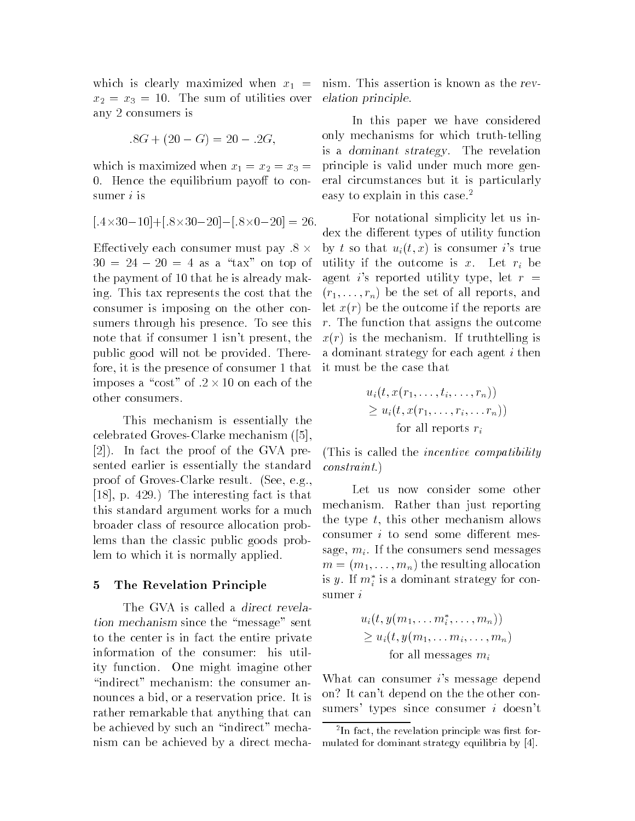which is clearly maximized when  $x_1 =$ where the sum of utilities over the sum of utilities over the sum of utilities of utilities over the sum of utilities of utilities of utilities of utilities of utilities of utilities of utilities of utilities of utilities any 2 consumers is

$$
.8G + (20 - G) = 20 - .2G,
$$

which is maximized when  $\alpha$  is maximized when  $\alpha$  is a  $\alpha$  is a  $\alpha$  is a  $\alpha$  is a  $\alpha$  is a  $\alpha$  is a  $\alpha$  is a  $\alpha$  is a  $\alpha$  is a  $\alpha$  is a  $\alpha$  is a  $\alpha$  is a  $\alpha$  is a  $\alpha$  is a  $\alpha$  is a  $\alpha$  is a  $\alpha$  is a  $\alpha$ 0. Hence the equilibrium payoff to consumer  $i$  is

$$
[.4 \times 30 - 10] + [.8 \times 30 - 20] - [.8 \times 0 - 20] = 26.
$$

Effectively each consumer must pay  $8 \times$  $30 = 24 - 20 = 4$  as a "tax" on top of the payment of 10 that he is already making. This tax represents the cost that the consumer is imposing on the other con sumers through his presence. To see this note that if consumer 1 isn't present, the public good will not be provided. Therefore, it is the presence of consumer 1 that imposes a "cost" of  $.2 \times 10$  on each of the other consumers

This mechanism is essentially the celebrated Groves and Clarke mechanisms of the celebrated Groves and Clarke mechanisms of the celebrated Grove  $[2]$ ). In fact the proof of the GVA presented earlier is essentially the standard provide and grove result and the second provided and provided the second second second and second and second s  $[18]$ , p. 429.) The interesting fact is that this standard argument works for a much broader class of resource allocation prob lems than the classic public goods prob lem to which it is normally applied

#### 5 The Revelation Principle

The GVA is called a direct revelation mechanism since the message sent to the center is in fact the entire private information of the consumer: his utility function One might imagine other "indirect" mechanism: the consumer announces a bid, or a reservation price. It is rather remarkable that anything that can be achieved by such an "indirect" mechanism can be achieved by a direct mecha 

nism. This assertion is known as the revelation principle

In this paper we have considered only mechanisms for which truth-telling is a *dominant strategy*. The revelation principle is valid under much more gen eral circumstances but it is particularly easy to explain in this case.<sup>2</sup>

For notational simplicity let us in dex the different types of utility function  $\mathcal{L}_j$  is so that  $\mathcal{L}_i$  is the differential  $\mathcal{L}_i$  is the vector of  $\mathcal{L}_i$ utility if the outcome is x. Let  $r_i$  be agent is reported utility type, let  $r =$ reports the set of all reports and the set of all reports and the set of all  $\mu$ let <sup>x</sup>r be the outcome if the reports are  $r$ . The function that assigns the outcome r is the mechanism in the mechanism is the mechanism of the mechanism of the mechanism of the mechanism of the a dominant strategy for each agent <sup>i</sup> then it must be the case that

$$
u_i(t, x(r_1, \ldots, t_i, \ldots, r_n))
$$
  
\n
$$
\geq u_i(t, x(r_1, \ldots, r_i, \ldots, r_n))
$$
  
\nfor all reports  $r_i$ 

This is called the incentive compatibility compatibility compatibility compatibility compatibility compatibility  $\mathcal{A}$ constraint

Let us now consider some other mechanism. Rather than just reporting the type  $t$ , this other mechanism allows consumer  $i$  to send some different message,  $m_i$ . If the consumers send messages <sup>m</sup> mmn the resulting allocation is  $y$  . If  $m_i$  is a dominant strategy for consumer <sup>i</sup>

$$
u_i(t, y(m_1, \ldots m_i^*, \ldots, m_n))
$$
  
\n
$$
\geq u_i(t, y(m_1, \ldots m_i, \ldots, m_n))
$$
  
\nfor all messages  $m_i$ 

What can consumer i's message depend on? It can't depend on the the other consumers' types since consumer  $i$  doesn't

<sup>-</sup> In fact the revelation principle was rst formulated for dominant strategy equilibria by [4].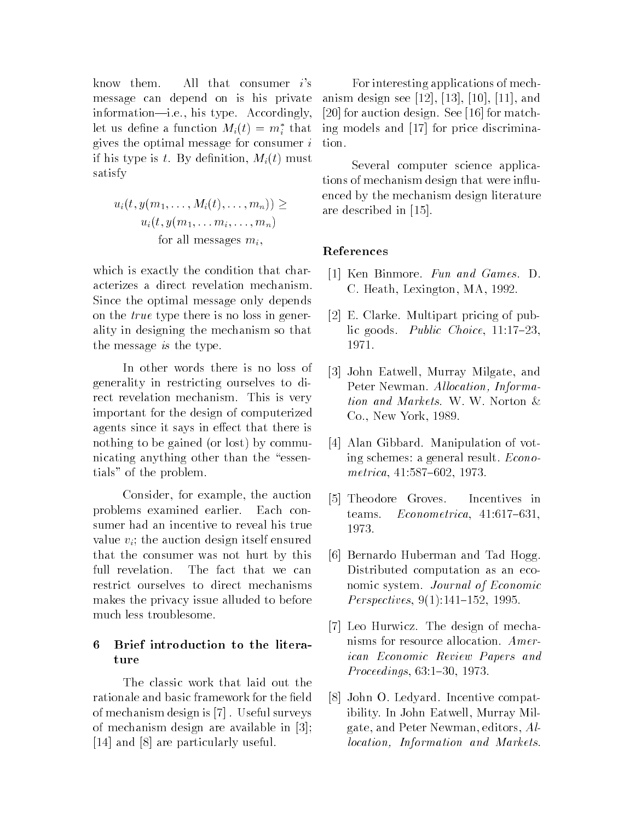know them. All that consumer  $i$ 's message can depend on is his private information—i.e., his type. Accordingly, iet us denne a function  $m_i(t) = m_i$  that the gives the optimal message for consumer <sup>i</sup> if his type is the By declination may be played and the contract of the second contract of the contract of the satisfy

$$
u_i(t, y(m_1, \ldots, M_i(t), \ldots, m_n)) \ge
$$
  
 
$$
u_i(t, y(m_1, \ldots m_i, \ldots, m_n))
$$
  
for all messages  $m_i$ ,

which is exactly the condition that char acterizes a direct revelation mechanism Since the optimal message only depends on the true type there is no loss in gener ality in designing the mechanism so that the message *is* the type.

In other words there is no loss of generality in restricting ourselves to di rect revelation mechanism. This is very important for the design of computerized agents since it says in effect that there is nothing to be gained to the second by community nicating anything other than the "essentials" of the problem.

Consider, for example, the auction problems examined earlier. Each consumer had an incentive to reveal his true value  $v_i$ ; the auction design itself ensured that the consumer was not hurt by this full revelation. The fact that we can restrict ourselves to direct mechanisms makes the privacy issue alluded to before much less troublesome

# 6 Brief introduction to the literature

The classic work that laid out the rationale and basic framework for the -eld of mechanism design is [7]. Useful surveys of mechanism design are available in [14] and  $[8]$  are particularly useful.

For interesting applications of mech anism design see  $[12]$ ,  $[13]$ ,  $[10]$ ,  $[11]$ , and [20] for auction design. See  $[16]$  for matching models and  $\left[17\right]$  for price discrimination

Several computer science applica tions of mechanism design that were influenced by the mechanism design literature are described in

## References

- [1] Ken Binmore. Fun and Games. D. C. Heath, Lexington, MA, 1992.
- E Clarke Multipart pricing of pub lic goods. Public Choice,  $11:17-23$ , 1971.
- [3] John Eatwell, Murray Milgate, and Peter Newman Allocation- Informa tion and Markets. W. W. Norton  $\&$  $Co.$ , New York, 1989.
- [4] Alan Gibbard. Manipulation of voting schemes: a general result. *Econo* $metrica, 41:587-602, 1973.$
- [5] Theodore Groves. Incentives in teams.  $Econometrica$ ,  $41:617-631$ , 1973.
- [6] Bernardo Huberman and Tad Hogg. Distributed computation as an eco nomic system. Journal of Economic representatives the contract of the contract of the contract of the contract of the contract of the contract o
- [7] Leo Hurwicz. The design of mechanisms for resource allocation. American Economic Review Papers and  $Proceedings, 63:1-30, 1973.$
- [8] John O. Ledyard. Incentive compatibility. In John Eatwell, Murray Milgate, and Peter Newman, editors,  $Al$ location- Information and Markets